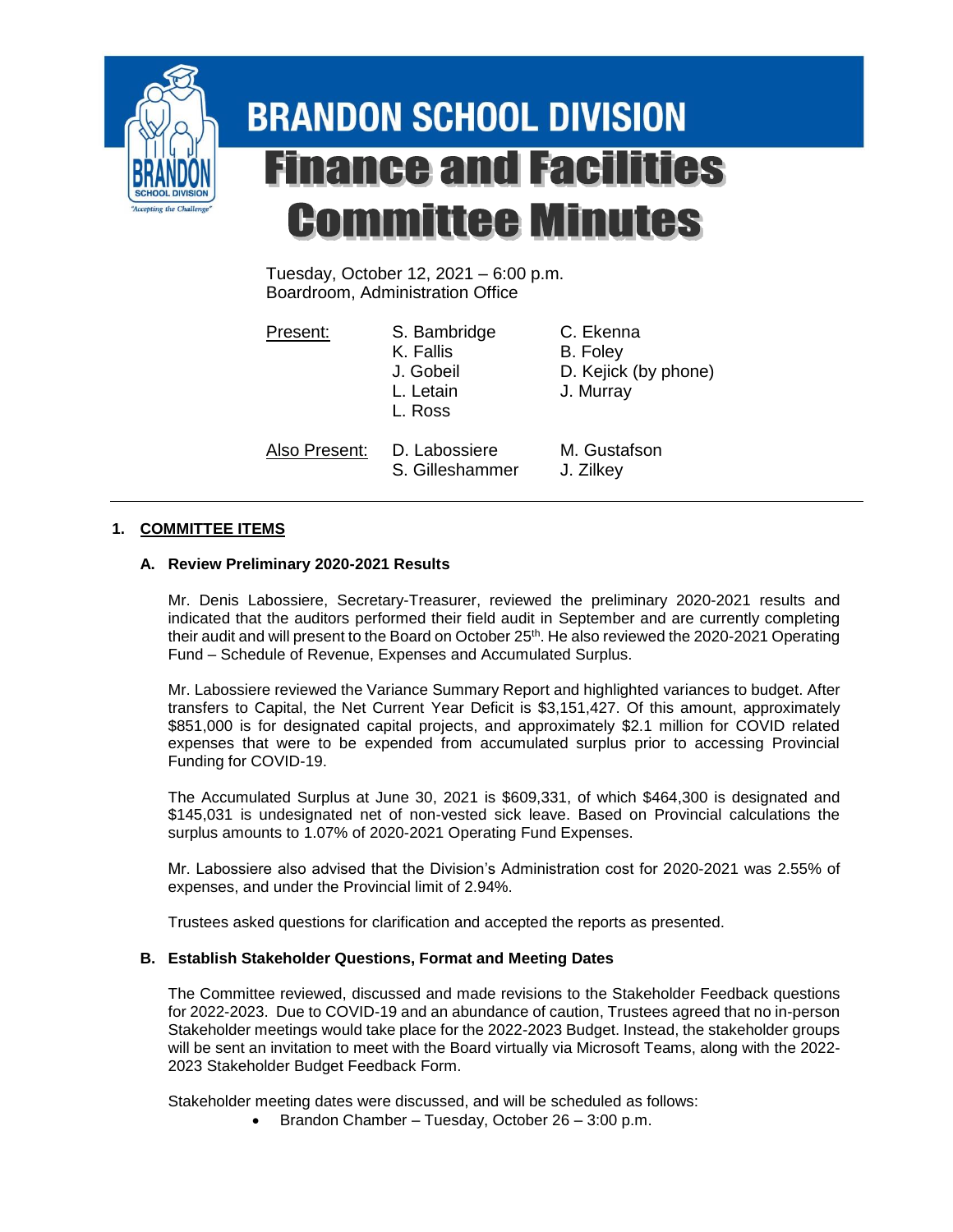

# **BRANDON SCHOOL DIVISION Finance and Facilities Committee Minutes**

Tuesday, October 12, 2021 – 6:00 p.m. Boardroom, Administration Office

Present: S. Bambridge C. Ekenna K. Fallis B. Foley J. Gobeil D. Kejick (by phone) L. Letain J. Murray L. Ross Also Present: D. Labossiere M. Gustafson S. Gilleshammer J. Zilkey

# **1. COMMITTEE ITEMS**

# **A. Review Preliminary 2020-2021 Results**

Mr. Denis Labossiere, Secretary-Treasurer, reviewed the preliminary 2020-2021 results and indicated that the auditors performed their field audit in September and are currently completing their audit and will present to the Board on October 25<sup>th</sup>. He also reviewed the 2020-2021 Operating Fund – Schedule of Revenue, Expenses and Accumulated Surplus.

Mr. Labossiere reviewed the Variance Summary Report and highlighted variances to budget. After transfers to Capital, the Net Current Year Deficit is \$3,151,427. Of this amount, approximately \$851,000 is for designated capital projects, and approximately \$2.1 million for COVID related expenses that were to be expended from accumulated surplus prior to accessing Provincial Funding for COVID-19.

The Accumulated Surplus at June 30, 2021 is \$609,331, of which \$464,300 is designated and \$145,031 is undesignated net of non-vested sick leave. Based on Provincial calculations the surplus amounts to 1.07% of 2020-2021 Operating Fund Expenses.

Mr. Labossiere also advised that the Division's Administration cost for 2020-2021 was 2.55% of expenses, and under the Provincial limit of 2.94%.

Trustees asked questions for clarification and accepted the reports as presented.

## **B. Establish Stakeholder Questions, Format and Meeting Dates**

The Committee reviewed, discussed and made revisions to the Stakeholder Feedback questions for 2022-2023. Due to COVID-19 and an abundance of caution, Trustees agreed that no in-person Stakeholder meetings would take place for the 2022-2023 Budget. Instead, the stakeholder groups will be sent an invitation to meet with the Board virtually via Microsoft Teams, along with the 2022- 2023 Stakeholder Budget Feedback Form.

Stakeholder meeting dates were discussed, and will be scheduled as follows:

**Brandon Chamber – Tuesday, October 26 – 3:00 p.m.**